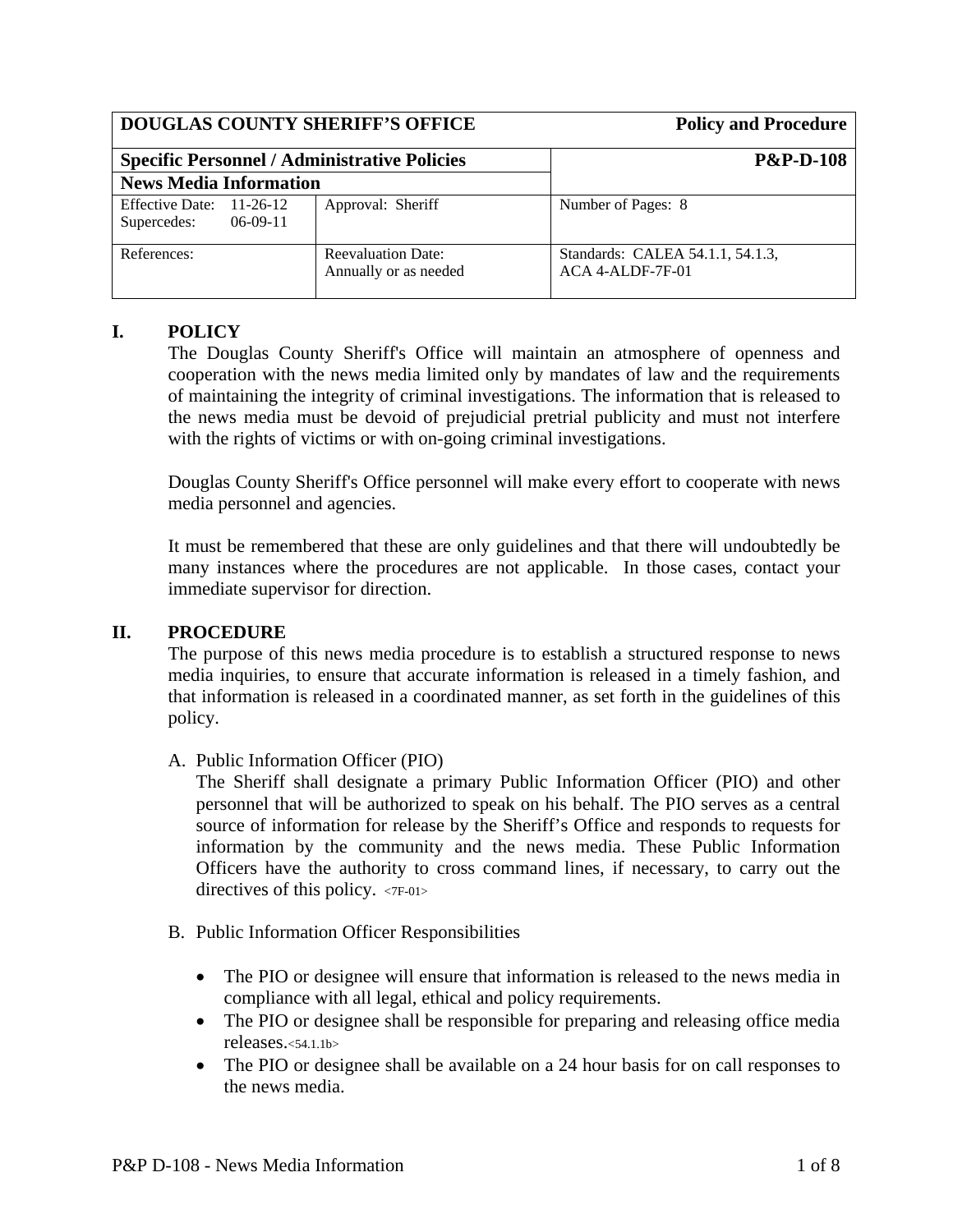| <b>DOUGLAS COUNTY SHERIFF'S OFFICE</b>                  |                                                    | <b>Policy and Procedure</b>                            |
|---------------------------------------------------------|----------------------------------------------------|--------------------------------------------------------|
| <b>Specific Personnel / Administrative Policies</b>     |                                                    | <b>P&amp;P-D-108</b>                                   |
| <b>News Media Information</b>                           |                                                    |                                                        |
| Effective Date: $11-26-12$<br>Supercedes:<br>$06-09-11$ | Approval: Sheriff                                  | Number of Pages: 8                                     |
| References:                                             | <b>Reevaluation Date:</b><br>Annually or as needed | Standards: CALEA 54.1.1, 54.1.3,<br>$ACA$ 4-ALDF-7F-01 |

# **I. POLICY**

The Douglas County Sheriff's Office will maintain an atmosphere of openness and cooperation with the news media limited only by mandates of law and the requirements of maintaining the integrity of criminal investigations. The information that is released to the news media must be devoid of prejudicial pretrial publicity and must not interfere with the rights of victims or with on-going criminal investigations.

Douglas County Sheriff's Office personnel will make every effort to cooperate with news media personnel and agencies.

It must be remembered that these are only guidelines and that there will undoubtedly be many instances where the procedures are not applicable. In those cases, contact your immediate supervisor for direction.

### **II. PROCEDURE**

The purpose of this news media procedure is to establish a structured response to news media inquiries, to ensure that accurate information is released in a timely fashion, and that information is released in a coordinated manner, as set forth in the guidelines of this policy.

A. Public Information Officer (PIO)

The Sheriff shall designate a primary Public Information Officer (PIO) and other personnel that will be authorized to speak on his behalf. The PIO serves as a central source of information for release by the Sheriff's Office and responds to requests for information by the community and the news media. These Public Information Officers have the authority to cross command lines, if necessary, to carry out the directives of this policy. <7F-01>

- B. Public Information Officer Responsibilities
	- The PIO or designee will ensure that information is released to the news media in compliance with all legal, ethical and policy requirements.
	- The PIO or designee shall be responsible for preparing and releasing office media releases.<54.1.1b>
	- The PIO or designee shall be available on a 24 hour basis for on call responses to the news media.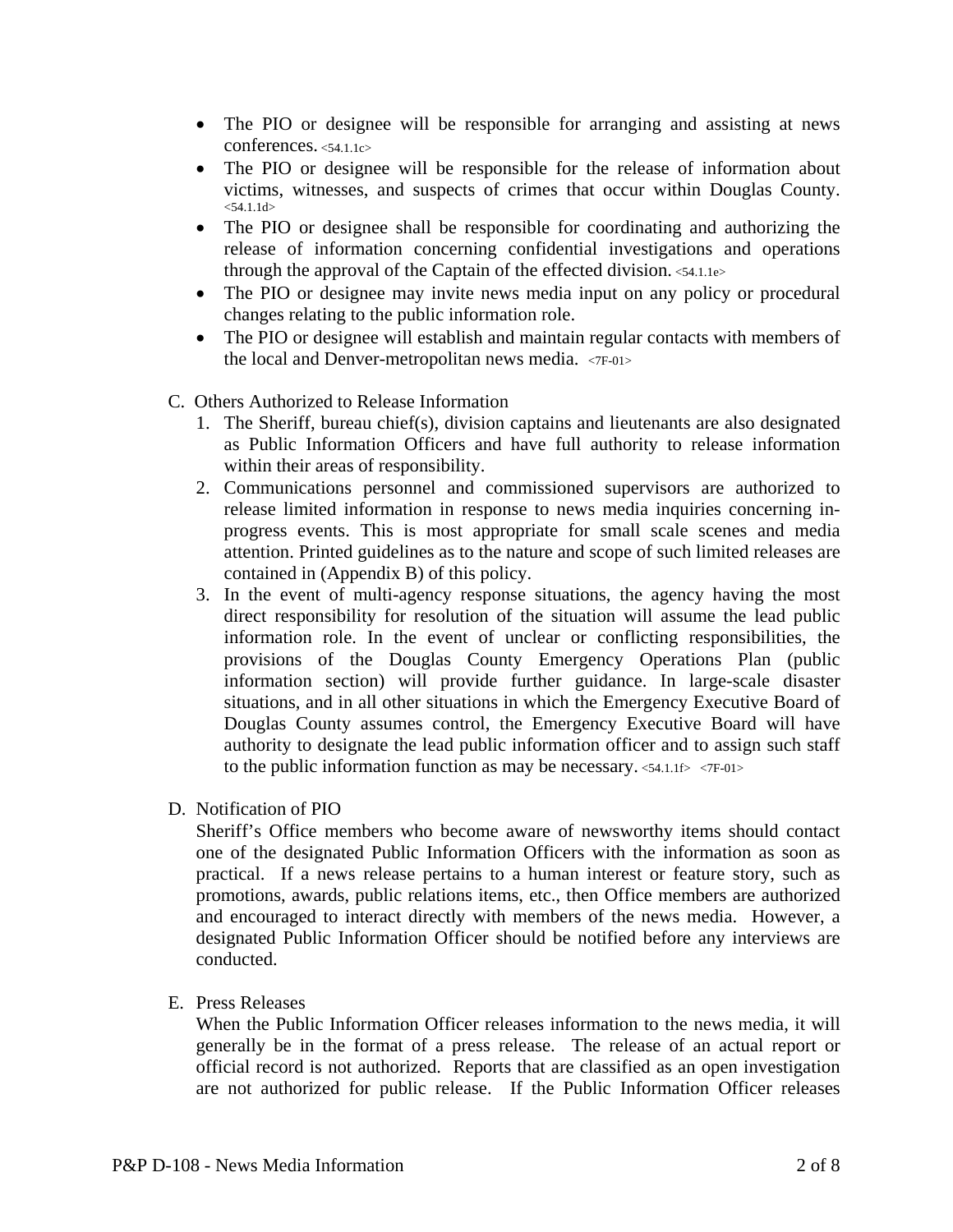- The PIO or designee will be responsible for arranging and assisting at news conferences. <54.1.1c>
- The PIO or designee will be responsible for the release of information about victims, witnesses, and suspects of crimes that occur within Douglas County.  $<$ 54.1.1d $>$
- The PIO or designee shall be responsible for coordinating and authorizing the release of information concerning confidential investigations and operations through the approval of the Captain of the effected division. <54.1.1e>
- The PIO or designee may invite news media input on any policy or procedural changes relating to the public information role.
- The PIO or designee will establish and maintain regular contacts with members of the local and Denver-metropolitan news media. <7F-01>
- C. Others Authorized to Release Information
	- 1. The Sheriff, bureau chief(s), division captains and lieutenants are also designated as Public Information Officers and have full authority to release information within their areas of responsibility.
	- 2. Communications personnel and commissioned supervisors are authorized to release limited information in response to news media inquiries concerning inprogress events. This is most appropriate for small scale scenes and media attention. Printed guidelines as to the nature and scope of such limited releases are contained in (Appendix B) of this policy.
	- 3. In the event of multi-agency response situations, the agency having the most direct responsibility for resolution of the situation will assume the lead public information role. In the event of unclear or conflicting responsibilities, the provisions of the Douglas County Emergency Operations Plan (public information section) will provide further guidance. In large-scale disaster situations, and in all other situations in which the Emergency Executive Board of Douglas County assumes control, the Emergency Executive Board will have authority to designate the lead public information officer and to assign such staff to the public information function as may be necessary.  $\langle 54.1.1f \rangle$   $\langle 7F-01 \rangle$
- D. Notification of PIO

Sheriff's Office members who become aware of newsworthy items should contact one of the designated Public Information Officers with the information as soon as practical. If a news release pertains to a human interest or feature story, such as promotions, awards, public relations items, etc., then Office members are authorized and encouraged to interact directly with members of the news media. However, a designated Public Information Officer should be notified before any interviews are conducted.

E. Press Releases

 When the Public Information Officer releases information to the news media, it will generally be in the format of a press release. The release of an actual report or official record is not authorized. Reports that are classified as an open investigation are not authorized for public release. If the Public Information Officer releases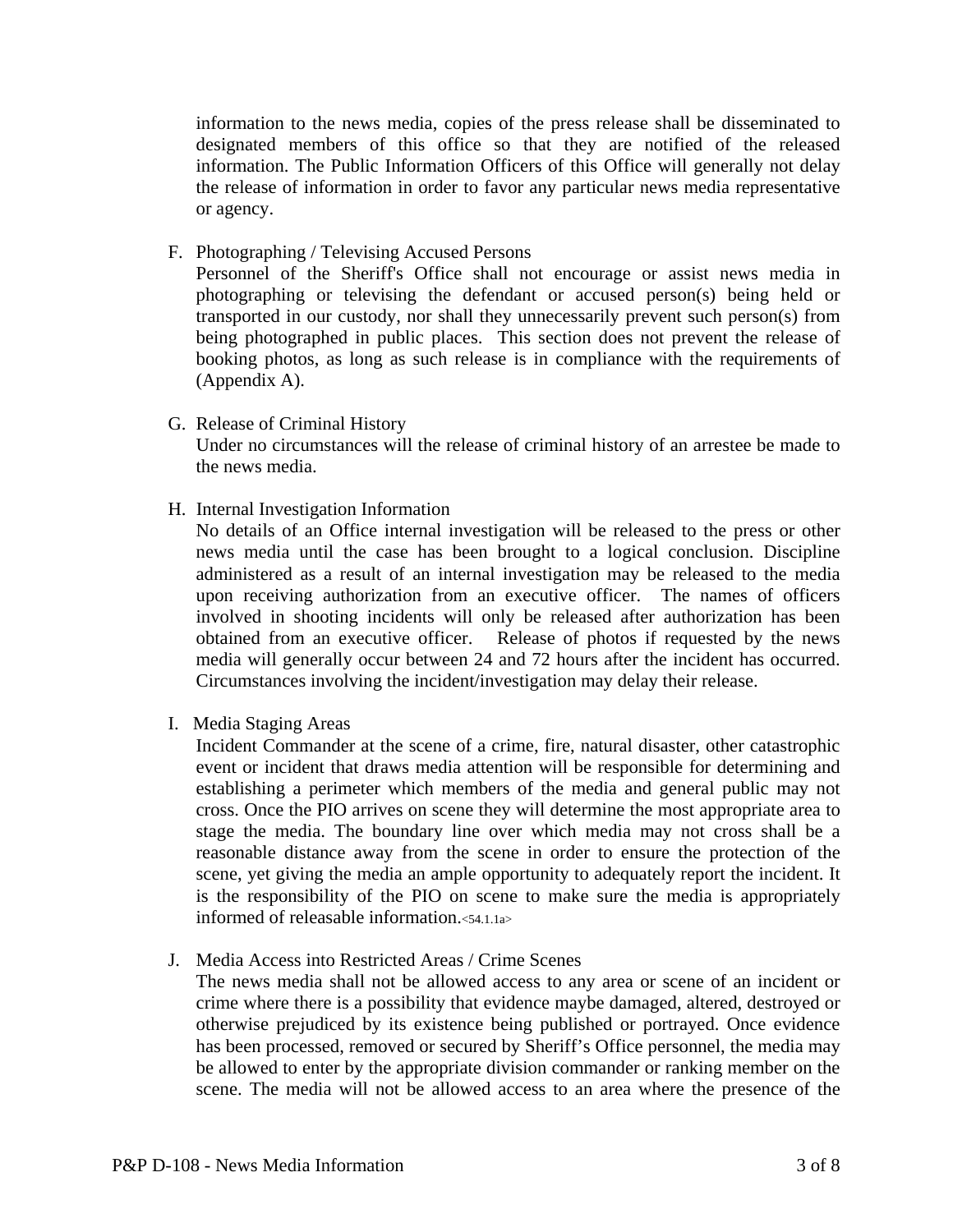information to the news media, copies of the press release shall be disseminated to designated members of this office so that they are notified of the released information. The Public Information Officers of this Office will generally not delay the release of information in order to favor any particular news media representative or agency.

F. Photographing / Televising Accused Persons

 Personnel of the Sheriff's Office shall not encourage or assist news media in photographing or televising the defendant or accused person(s) being held or transported in our custody, nor shall they unnecessarily prevent such person(s) from being photographed in public places. This section does not prevent the release of booking photos, as long as such release is in compliance with the requirements of (Appendix A).

G. Release of Criminal History

Under no circumstances will the release of criminal history of an arrestee be made to the news media.

H. Internal Investigation Information

 No details of an Office internal investigation will be released to the press or other news media until the case has been brought to a logical conclusion. Discipline administered as a result of an internal investigation may be released to the media upon receiving authorization from an executive officer. The names of officers involved in shooting incidents will only be released after authorization has been obtained from an executive officer. Release of photos if requested by the news media will generally occur between 24 and 72 hours after the incident has occurred. Circumstances involving the incident/investigation may delay their release.

I. Media Staging Areas

 Incident Commander at the scene of a crime, fire, natural disaster, other catastrophic event or incident that draws media attention will be responsible for determining and establishing a perimeter which members of the media and general public may not cross. Once the PIO arrives on scene they will determine the most appropriate area to stage the media. The boundary line over which media may not cross shall be a reasonable distance away from the scene in order to ensure the protection of the scene, yet giving the media an ample opportunity to adequately report the incident. It is the responsibility of the PIO on scene to make sure the media is appropriately informed of releasable information  $\leq 54.1$   $\text{Hz}$ 

J. Media Access into Restricted Areas / Crime Scenes

 The news media shall not be allowed access to any area or scene of an incident or crime where there is a possibility that evidence maybe damaged, altered, destroyed or otherwise prejudiced by its existence being published or portrayed. Once evidence has been processed, removed or secured by Sheriff's Office personnel, the media may be allowed to enter by the appropriate division commander or ranking member on the scene. The media will not be allowed access to an area where the presence of the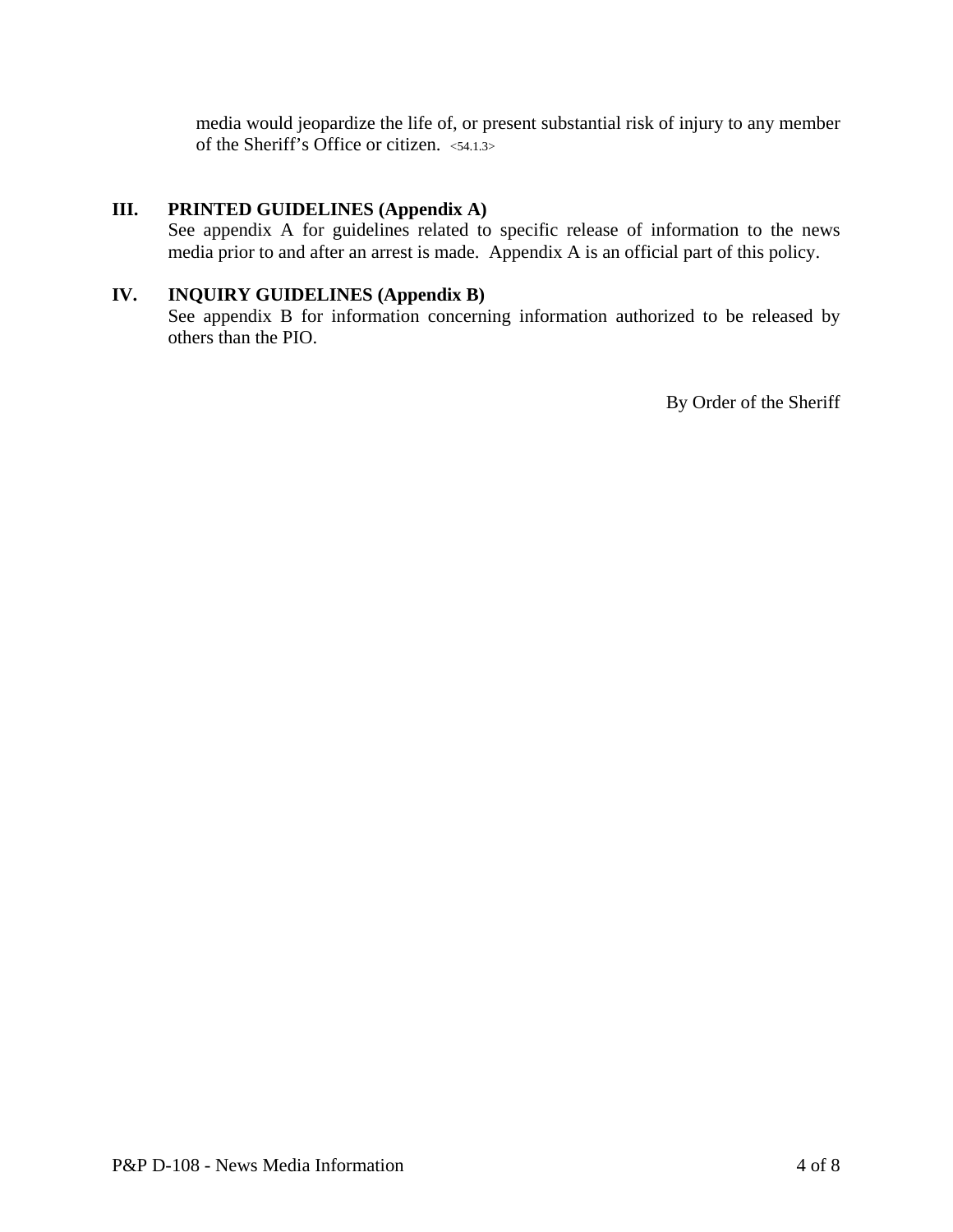media would jeopardize the life of, or present substantial risk of injury to any member of the Sheriff's Office or citizen.  $\leq 54.1.3$ 

# **III. PRINTED GUIDELINES (Appendix A)**

See appendix A for guidelines related to specific release of information to the news media prior to and after an arrest is made. Appendix A is an official part of this policy.

### **IV. INQUIRY GUIDELINES (Appendix B)**

See appendix B for information concerning information authorized to be released by others than the PIO.

By Order of the Sheriff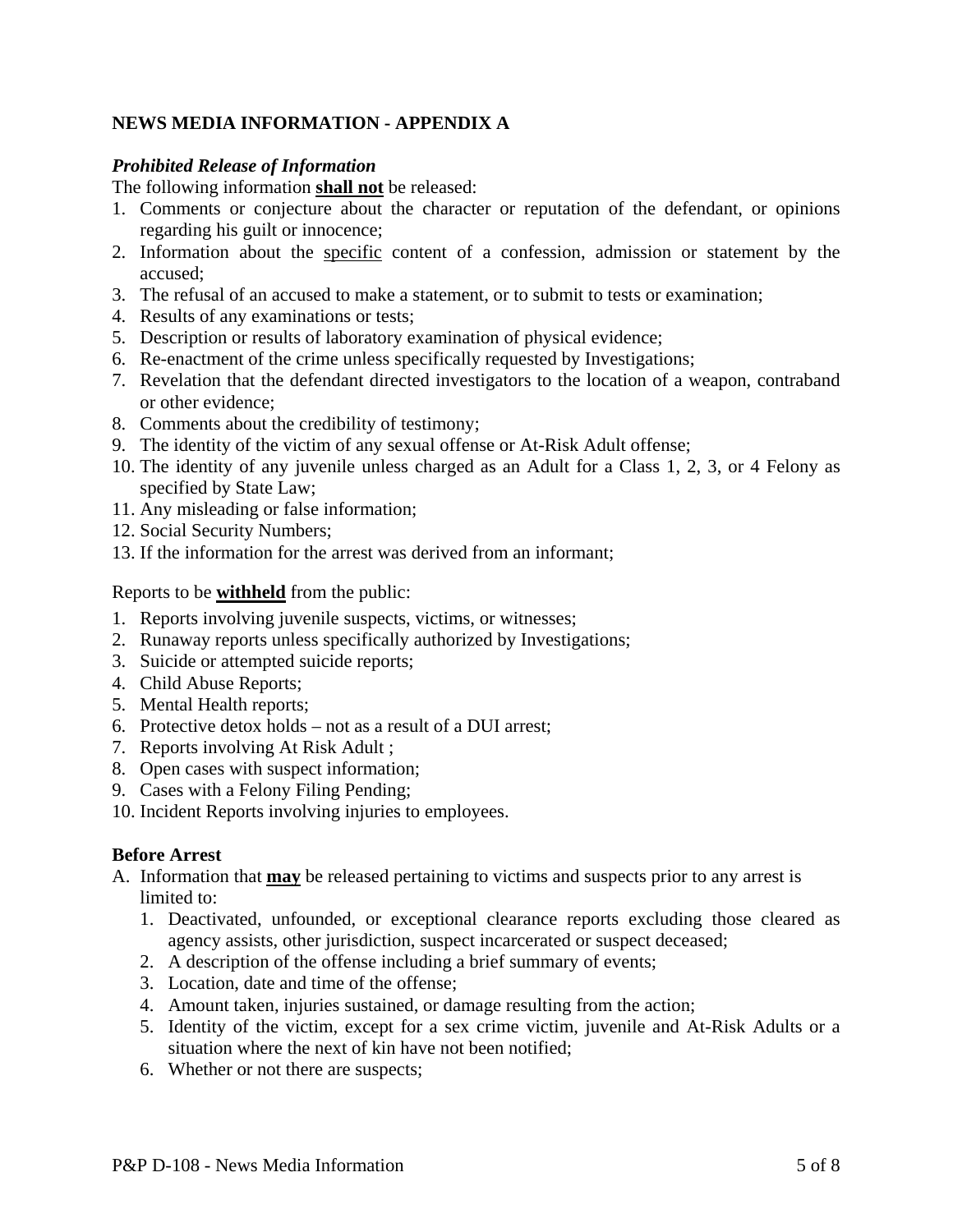# **NEWS MEDIA INFORMATION - APPENDIX A**

### *Prohibited Release of Information*

The following information **shall not** be released:

- 1. Comments or conjecture about the character or reputation of the defendant, or opinions regarding his guilt or innocence;
- 2. Information about the specific content of a confession, admission or statement by the accused;
- 3. The refusal of an accused to make a statement, or to submit to tests or examination;
- 4. Results of any examinations or tests;
- 5. Description or results of laboratory examination of physical evidence;
- 6. Re-enactment of the crime unless specifically requested by Investigations;
- 7. Revelation that the defendant directed investigators to the location of a weapon, contraband or other evidence;
- 8. Comments about the credibility of testimony;
- 9. The identity of the victim of any sexual offense or At-Risk Adult offense;
- 10. The identity of any juvenile unless charged as an Adult for a Class 1, 2, 3, or 4 Felony as specified by State Law;
- 11. Any misleading or false information;
- 12. Social Security Numbers;
- 13. If the information for the arrest was derived from an informant;

Reports to be **withheld** from the public:

- 1. Reports involving juvenile suspects, victims, or witnesses;
- 2. Runaway reports unless specifically authorized by Investigations;
- 3. Suicide or attempted suicide reports;
- 4. Child Abuse Reports;
- 5. Mental Health reports;
- 6. Protective detox holds not as a result of a DUI arrest;
- 7. Reports involving At Risk Adult ;
- 8. Open cases with suspect information;
- 9. Cases with a Felony Filing Pending;
- 10. Incident Reports involving injuries to employees.

#### **Before Arrest**

- A. Information that **may** be released pertaining to victims and suspects prior to any arrest is limited to:
	- 1. Deactivated, unfounded, or exceptional clearance reports excluding those cleared as agency assists, other jurisdiction, suspect incarcerated or suspect deceased;
	- 2. A description of the offense including a brief summary of events;
	- 3. Location, date and time of the offense;
	- 4. Amount taken, injuries sustained, or damage resulting from the action;
	- 5. Identity of the victim, except for a sex crime victim, juvenile and At-Risk Adults or a situation where the next of kin have not been notified;
	- 6. Whether or not there are suspects;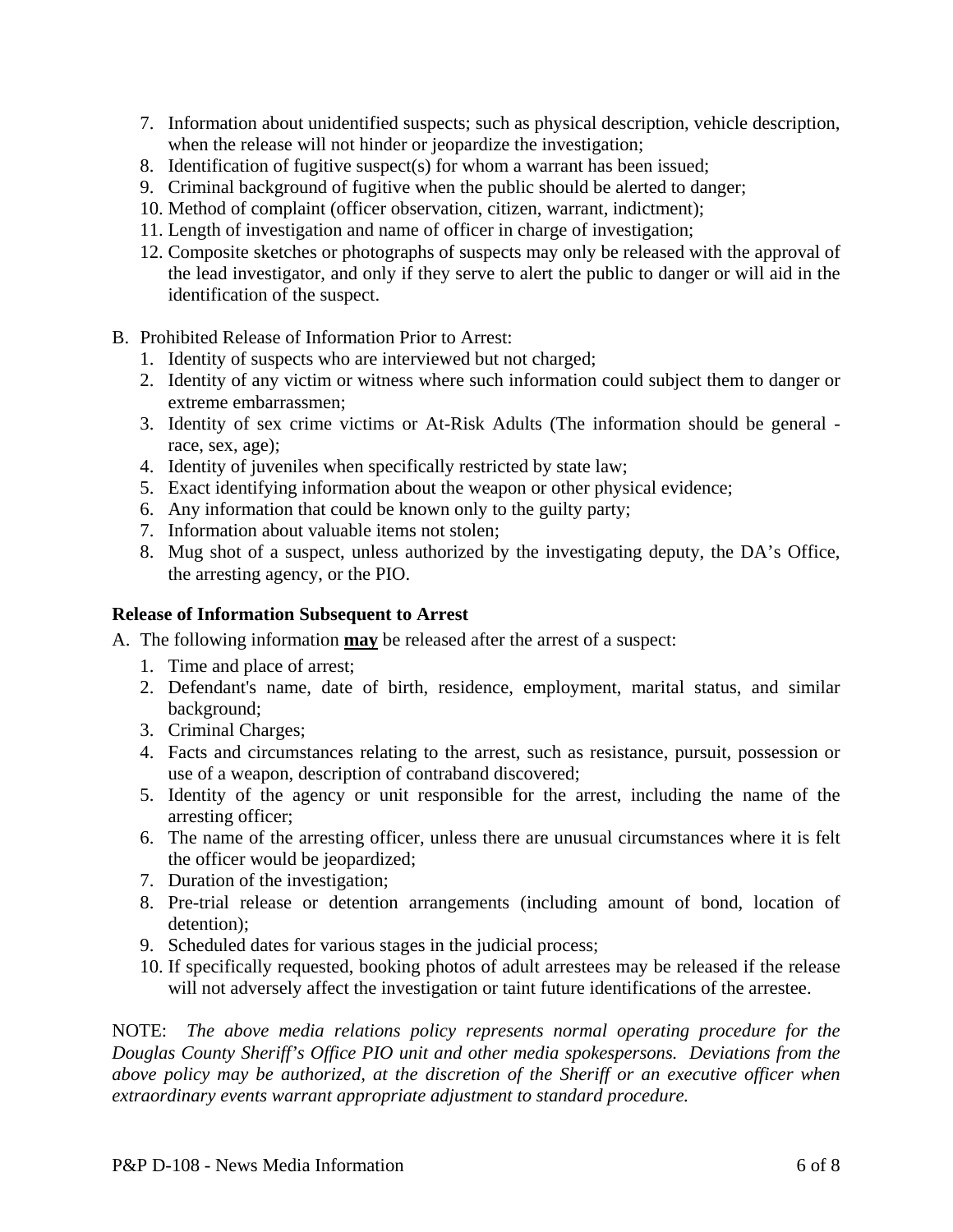- 7. Information about unidentified suspects; such as physical description, vehicle description, when the release will not hinder or jeopardize the investigation;
- 8. Identification of fugitive suspect(s) for whom a warrant has been issued;
- 9. Criminal background of fugitive when the public should be alerted to danger;
- 10. Method of complaint (officer observation, citizen, warrant, indictment);
- 11. Length of investigation and name of officer in charge of investigation;
- 12. Composite sketches or photographs of suspects may only be released with the approval of the lead investigator, and only if they serve to alert the public to danger or will aid in the identification of the suspect.
- B. Prohibited Release of Information Prior to Arrest:
	- 1. Identity of suspects who are interviewed but not charged;
	- 2. Identity of any victim or witness where such information could subject them to danger or extreme embarrassmen;
	- 3. Identity of sex crime victims or At-Risk Adults (The information should be general race, sex, age);
	- 4. Identity of juveniles when specifically restricted by state law;
	- 5. Exact identifying information about the weapon or other physical evidence;
	- 6. Any information that could be known only to the guilty party;
	- 7. Information about valuable items not stolen;
	- 8. Mug shot of a suspect, unless authorized by the investigating deputy, the DA's Office, the arresting agency, or the PIO.

# **Release of Information Subsequent to Arrest**

- A. The following information **may** be released after the arrest of a suspect:
	- 1. Time and place of arrest;
	- 2. Defendant's name, date of birth, residence, employment, marital status, and similar background;
	- 3. Criminal Charges;
	- 4. Facts and circumstances relating to the arrest, such as resistance, pursuit, possession or use of a weapon, description of contraband discovered;
	- 5. Identity of the agency or unit responsible for the arrest, including the name of the arresting officer;
	- 6. The name of the arresting officer, unless there are unusual circumstances where it is felt the officer would be jeopardized;
	- 7. Duration of the investigation;
	- 8. Pre-trial release or detention arrangements (including amount of bond, location of detention);
	- 9. Scheduled dates for various stages in the judicial process;
	- 10. If specifically requested, booking photos of adult arrestees may be released if the release will not adversely affect the investigation or taint future identifications of the arrestee.

NOTE: *The above media relations policy represents normal operating procedure for the Douglas County Sheriff's Office PIO unit and other media spokespersons. Deviations from the above policy may be authorized, at the discretion of the Sheriff or an executive officer when extraordinary events warrant appropriate adjustment to standard procedure.*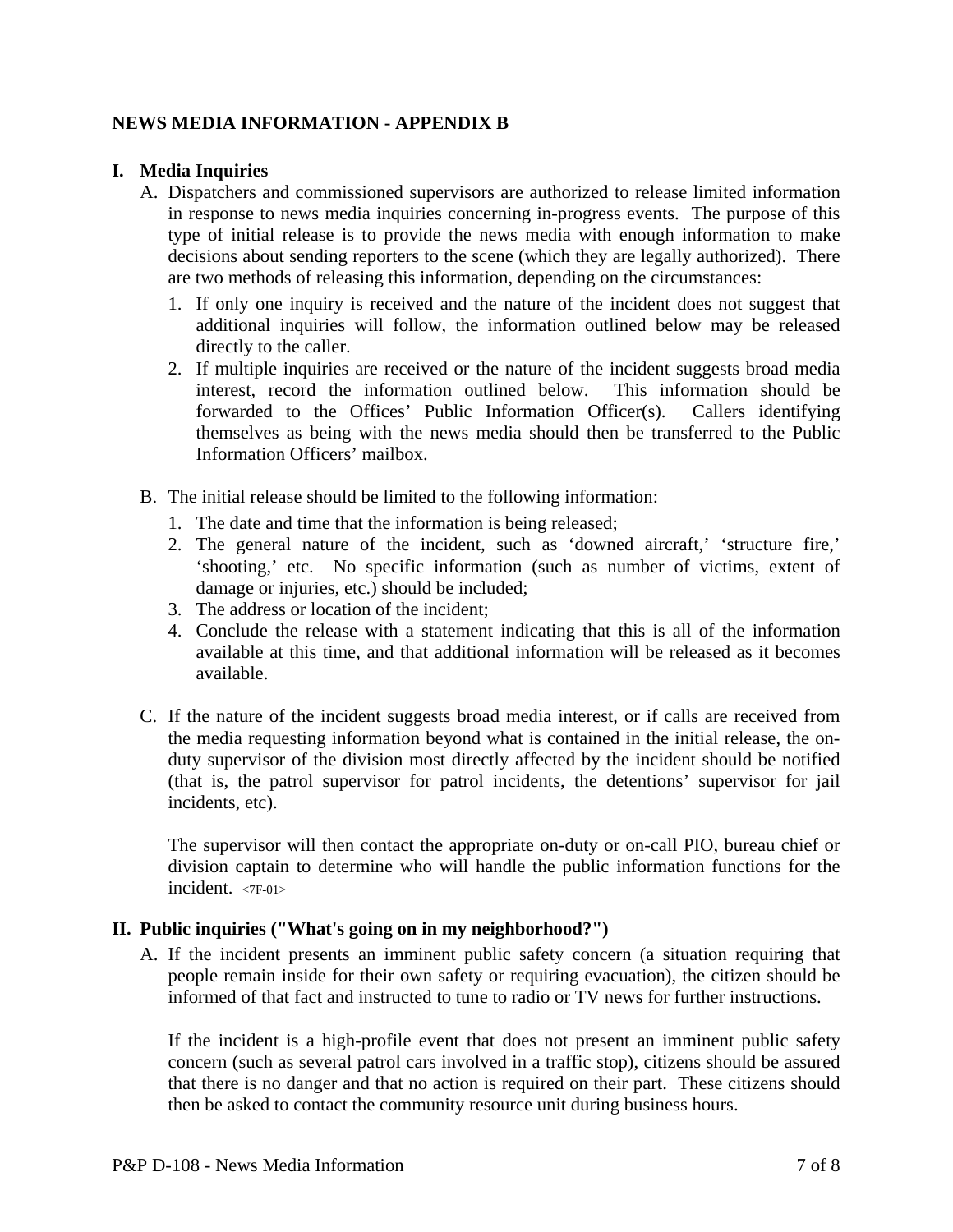# **NEWS MEDIA INFORMATION - APPENDIX B**

### **I. Media Inquiries**

- A. Dispatchers and commissioned supervisors are authorized to release limited information in response to news media inquiries concerning in-progress events. The purpose of this type of initial release is to provide the news media with enough information to make decisions about sending reporters to the scene (which they are legally authorized). There are two methods of releasing this information, depending on the circumstances:
	- 1. If only one inquiry is received and the nature of the incident does not suggest that additional inquiries will follow, the information outlined below may be released directly to the caller.
	- 2. If multiple inquiries are received or the nature of the incident suggests broad media interest, record the information outlined below. This information should be forwarded to the Offices' Public Information Officer(s). Callers identifying themselves as being with the news media should then be transferred to the Public Information Officers' mailbox.
- B. The initial release should be limited to the following information:
	- 1. The date and time that the information is being released;
	- 2. The general nature of the incident, such as 'downed aircraft,' 'structure fire,' 'shooting,' etc. No specific information (such as number of victims, extent of damage or injuries, etc.) should be included;
	- 3. The address or location of the incident;
	- 4. Conclude the release with a statement indicating that this is all of the information available at this time, and that additional information will be released as it becomes available.
- C. If the nature of the incident suggests broad media interest, or if calls are received from the media requesting information beyond what is contained in the initial release, the onduty supervisor of the division most directly affected by the incident should be notified (that is, the patrol supervisor for patrol incidents, the detentions' supervisor for jail incidents, etc).

The supervisor will then contact the appropriate on-duty or on-call PIO, bureau chief or division captain to determine who will handle the public information functions for the incident. <7F-01>

### **II. Public inquiries ("What's going on in my neighborhood?")**

A. If the incident presents an imminent public safety concern (a situation requiring that people remain inside for their own safety or requiring evacuation), the citizen should be informed of that fact and instructed to tune to radio or TV news for further instructions.

If the incident is a high-profile event that does not present an imminent public safety concern (such as several patrol cars involved in a traffic stop), citizens should be assured that there is no danger and that no action is required on their part. These citizens should then be asked to contact the community resource unit during business hours.